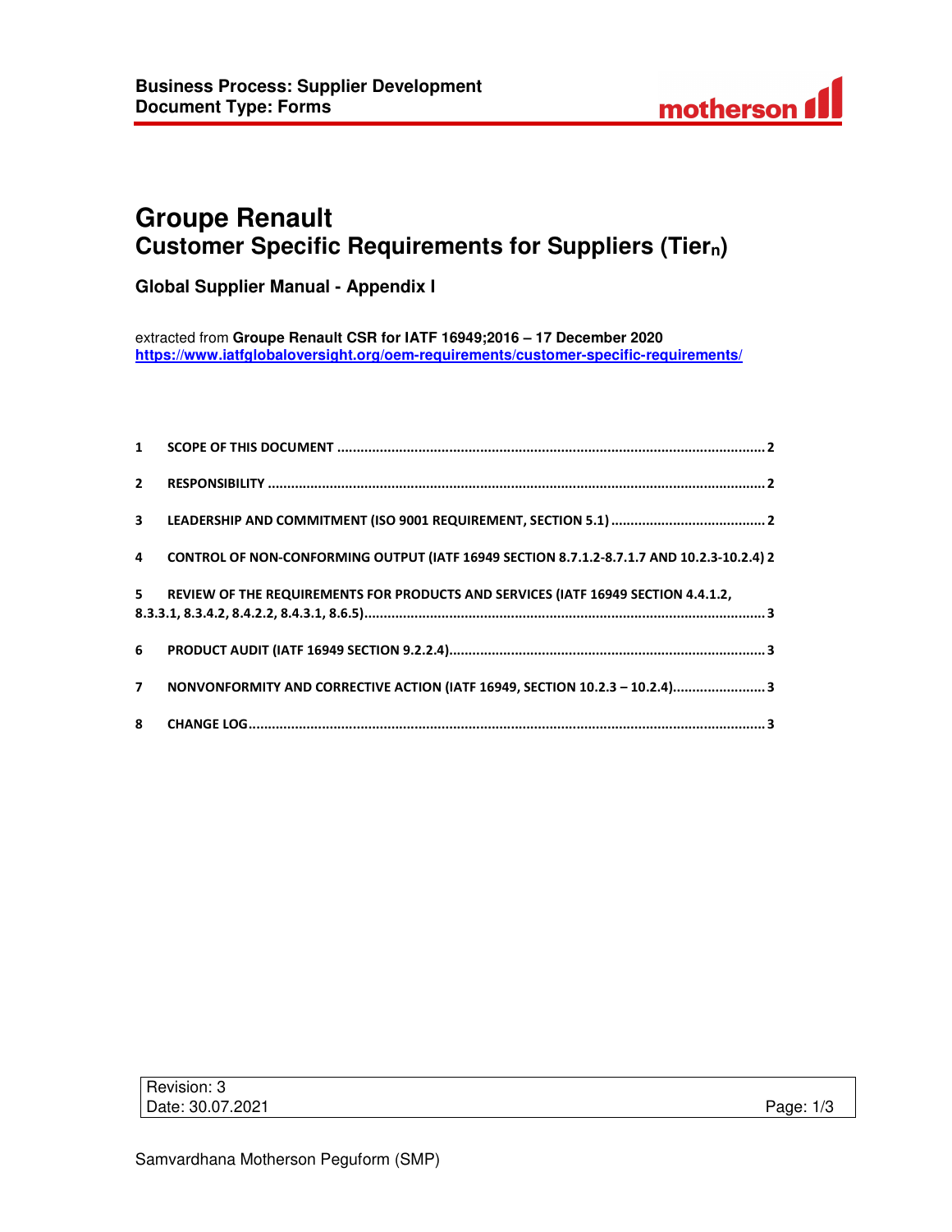

# **Groupe Renault Customer Specific Requirements for Suppliers (Tiern)**

**Global Supplier Manual - Appendix I** 

extracted from **Groupe Renault CSR for IATF 16949;2016 – 17 December 2020 https://www.iatfglobaloversight.org/oem-requirements/customer-specific-requirements/**

| $\overline{4}$ | CONTROL OF NON-CONFORMING OUTPUT (IATF 16949 SECTION 8.7.1.2-8.7.1.7 AND 10.2.3-10.2.4) 2 |
|----------------|-------------------------------------------------------------------------------------------|
| $5 -$          | REVIEW OF THE REQUIREMENTS FOR PRODUCTS AND SERVICES (IATF 16949 SECTION 4.4.1.2,         |
|                |                                                                                           |
| 7 <sup>7</sup> | NONVONFORMITY AND CORRECTIVE ACTION (IATF 16949, SECTION 10.2.3 - 10.2.4)3                |
|                |                                                                                           |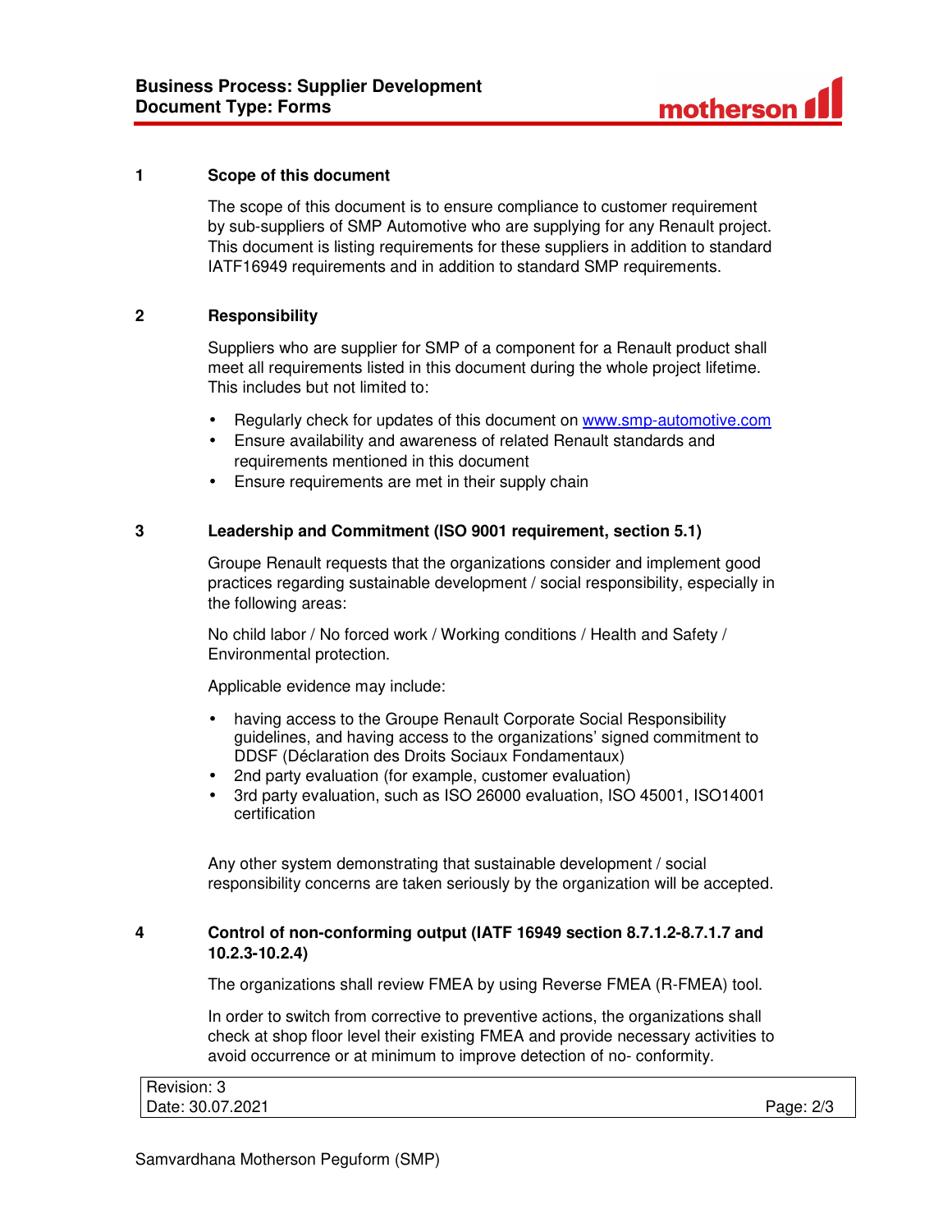

## **1 Scope of this document**

The scope of this document is to ensure compliance to customer requirement by sub-suppliers of SMP Automotive who are supplying for any Renault project. This document is listing requirements for these suppliers in addition to standard IATF16949 requirements and in addition to standard SMP requirements.

# **2 Responsibility**

Suppliers who are supplier for SMP of a component for a Renault product shall meet all requirements listed in this document during the whole project lifetime. This includes but not limited to:

- Regularly check for updates of this document on www.smp-automotive.com
- Ensure availability and awareness of related Renault standards and requirements mentioned in this document
- Ensure requirements are met in their supply chain

# **3 Leadership and Commitment (ISO 9001 requirement, section 5.1)**

Groupe Renault requests that the organizations consider and implement good practices regarding sustainable development / social responsibility, especially in the following areas:

No child labor / No forced work / Working conditions / Health and Safety / Environmental protection.

Applicable evidence may include:

- having access to the Groupe Renault Corporate Social Responsibility guidelines, and having access to the organizations' signed commitment to DDSF (Déclaration des Droits Sociaux Fondamentaux)
- 2nd party evaluation (for example, customer evaluation)
- 3rd party evaluation, such as ISO 26000 evaluation, ISO 45001, ISO14001 certification

Any other system demonstrating that sustainable development / social responsibility concerns are taken seriously by the organization will be accepted.

# **4 Control of non-conforming output (IATF 16949 section 8.7.1.2-8.7.1.7 and 10.2.3-10.2.4)**

The organizations shall review FMEA by using Reverse FMEA (R-FMEA) tool.

In order to switch from corrective to preventive actions, the organizations shall check at shop floor level their existing FMEA and provide necessary activities to avoid occurrence or at minimum to improve detection of no- conformity.

| Revision: 3      |           |
|------------------|-----------|
| Date: 30.07.2021 | Page: 2/3 |